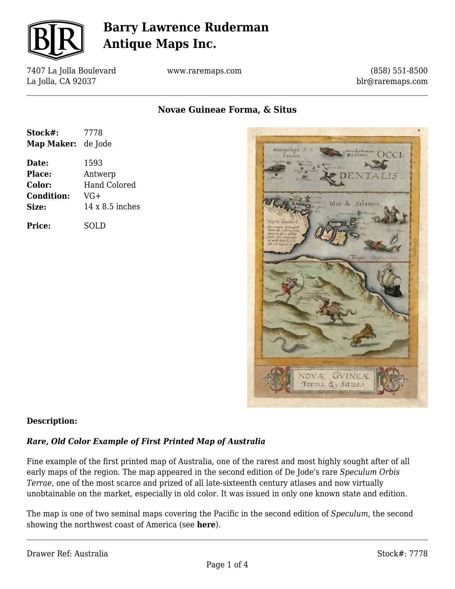

7407 La Jolla Boulevard La Jolla, CA 92037

www.raremaps.com

(858) 551-8500 blr@raremaps.com

**Novae Guineae Forma, & Situs**

| Stock#:           | 7778                   |
|-------------------|------------------------|
| Map Maker:        | de Jode                |
| Date:             | 1593                   |
| Place:            | Antwerp                |
| Color:            | <b>Hand Colored</b>    |
| <b>Condition:</b> | $VG+$                  |
| Size:             | $14 \times 8.5$ inches |
| Price:            | SOLD                   |



#### **Description:**

#### *Rare, Old Color Example of First Printed Map of Australia*

Fine example of the first printed map of Australia, one of the rarest and most highly sought after of all early maps of the region. The map appeared in the second edition of De Jode's rare *Speculum Orbis Terrae*, one of the most scarce and prized of all late-sixteenth century atlases and now virtually unobtainable on the market, especially in old color. It was issued in only one known state and edition.

The map is one of two seminal maps covering the Pacific in the second edition of *Speculum*, the second showing the northwest coast of America (see **here**).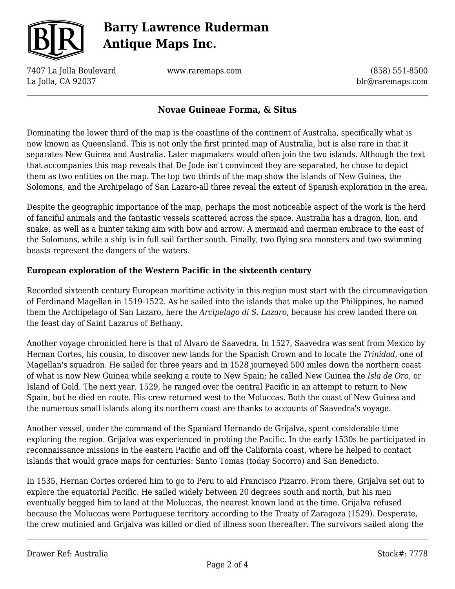

7407 La Jolla Boulevard La Jolla, CA 92037

www.raremaps.com

(858) 551-8500 blr@raremaps.com

### **Novae Guineae Forma, & Situs**

Dominating the lower third of the map is the coastline of the continent of Australia, specifically what is now known as Queensland. This is not only the first printed map of Australia, but is also rare in that it separates New Guinea and Australia. Later mapmakers would often join the two islands. Although the text that accompanies this map reveals that De Jode isn't convinced they are separated, he chose to depict them as two entities on the map. The top two thirds of the map show the islands of New Guinea, the Solomons, and the Archipelago of San Lazaro-all three reveal the extent of Spanish exploration in the area.

Despite the geographic importance of the map, perhaps the most noticeable aspect of the work is the herd of fanciful animals and the fantastic vessels scattered across the space. Australia has a dragon, lion, and snake, as well as a hunter taking aim with bow and arrow. A mermaid and merman embrace to the east of the Solomons, while a ship is in full sail farther south. Finally, two flying sea monsters and two swimming beasts represent the dangers of the waters.

#### **European exploration of the Western Pacific in the sixteenth century**

Recorded sixteenth century European maritime activity in this region must start with the circumnavigation of Ferdinand Magellan in 1519-1522. As he sailed into the islands that make up the Philippines, he named them the Archipelago of San Lazaro, here the *Arcipelago di S. Lazaro*, because his crew landed there on the feast day of Saint Lazarus of Bethany.

Another voyage chronicled here is that of Alvaro de Saavedra. In 1527, Saavedra was sent from Mexico by Hernan Cortes, his cousin, to discover new lands for the Spanish Crown and to locate the *Trinidad*, one of Magellan's squadron. He sailed for three years and in 1528 journeyed 500 miles down the northern coast of what is now New Guinea while seeking a route to New Spain; he called New Guinea the *Isla de Oro*, or Island of Gold. The next year, 1529, he ranged over the central Pacific in an attempt to return to New Spain, but he died en route. His crew returned west to the Moluccas. Both the coast of New Guinea and the numerous small islands along its northern coast are thanks to accounts of Saavedra's voyage.

Another vessel, under the command of the Spaniard Hernando de Grijalva, spent considerable time exploring the region. Grijalva was experienced in probing the Pacific. In the early 1530s he participated in reconnaissance missions in the eastern Pacific and off the California coast, where he helped to contact islands that would grace maps for centuries: Santo Tomas (today Socorro) and San Benedicto.

In 1535, Hernan Cortes ordered him to go to Peru to aid Francisco Pizarro. From there, Grijalva set out to explore the equatorial Pacific. He sailed widely between 20 degrees south and north, but his men eventually begged him to land at the Moluccas, the nearest known land at the time. Grijalva refused because the Moluccas were Portuguese territory according to the Treaty of Zaragoza (1529). Desperate, the crew mutinied and Grijalva was killed or died of illness soon thereafter. The survivors sailed along the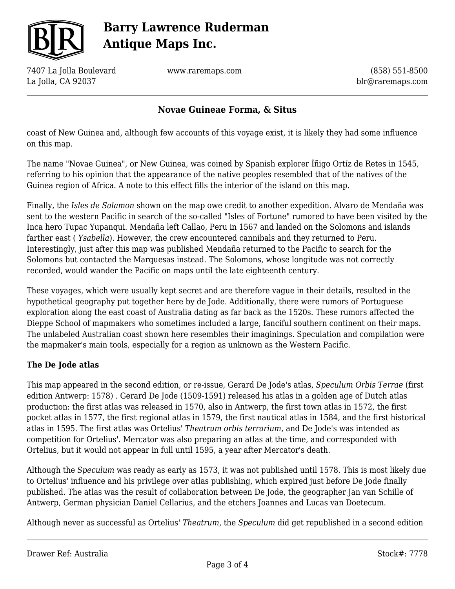

7407 La Jolla Boulevard La Jolla, CA 92037

www.raremaps.com

(858) 551-8500 blr@raremaps.com

### **Novae Guineae Forma, & Situs**

coast of New Guinea and, although few accounts of this voyage exist, it is likely they had some influence on this map.

The name "Novae Guinea", or New Guinea, was coined by Spanish explorer Íñigo Ortíz de Retes in 1545, referring to his opinion that the appearance of the native peoples resembled that of the natives of the Guinea region of Africa. A note to this effect fills the interior of the island on this map.

Finally, the *Isles de Salamon* shown on the map owe credit to another expedition. Alvaro de Mendaña was sent to the western Pacific in search of the so-called "Isles of Fortune" rumored to have been visited by the Inca hero Tupac Yupanqui. Mendaña left Callao, Peru in 1567 and landed on the Solomons and islands farther east ( *Ysabella*). However, the crew encountered cannibals and they returned to Peru. Interestingly, just after this map was published Mendaña returned to the Pacific to search for the Solomons but contacted the Marquesas instead. The Solomons, whose longitude was not correctly recorded, would wander the Pacific on maps until the late eighteenth century.

These voyages, which were usually kept secret and are therefore vague in their details, resulted in the hypothetical geography put together here by de Jode. Additionally, there were rumors of Portuguese exploration along the east coast of Australia dating as far back as the 1520s. These rumors affected the Dieppe School of mapmakers who sometimes included a large, fanciful southern continent on their maps. The unlabeled Australian coast shown here resembles their imaginings. Speculation and compilation were the mapmaker's main tools, especially for a region as unknown as the Western Pacific.

#### **The De Jode atlas**

This map appeared in the second edition, or re-issue, Gerard De Jode's atlas, *Speculum Orbis Terrae* (first edition Antwerp: 1578) *.* Gerard De Jode (1509-1591) released his atlas in a golden age of Dutch atlas production: the first atlas was released in 1570, also in Antwerp, the first town atlas in 1572, the first pocket atlas in 1577, the first regional atlas in 1579, the first nautical atlas in 1584, and the first historical atlas in 1595. The first atlas was Ortelius' *Theatrum orbis terrarium*, and De Jode's was intended as competition for Ortelius'. Mercator was also preparing an atlas at the time, and corresponded with Ortelius, but it would not appear in full until 1595, a year after Mercator's death.

Although the *Speculum* was ready as early as 1573, it was not published until 1578. This is most likely due to Ortelius' influence and his privilege over atlas publishing, which expired just before De Jode finally published. The atlas was the result of collaboration between De Jode, the geographer Jan van Schille of Antwerp, German physician Daniel Cellarius, and the etchers Joannes and Lucas van Doetecum.

Although never as successful as Ortelius' *Theatrum*, the *Speculum* did get republished in a second edition